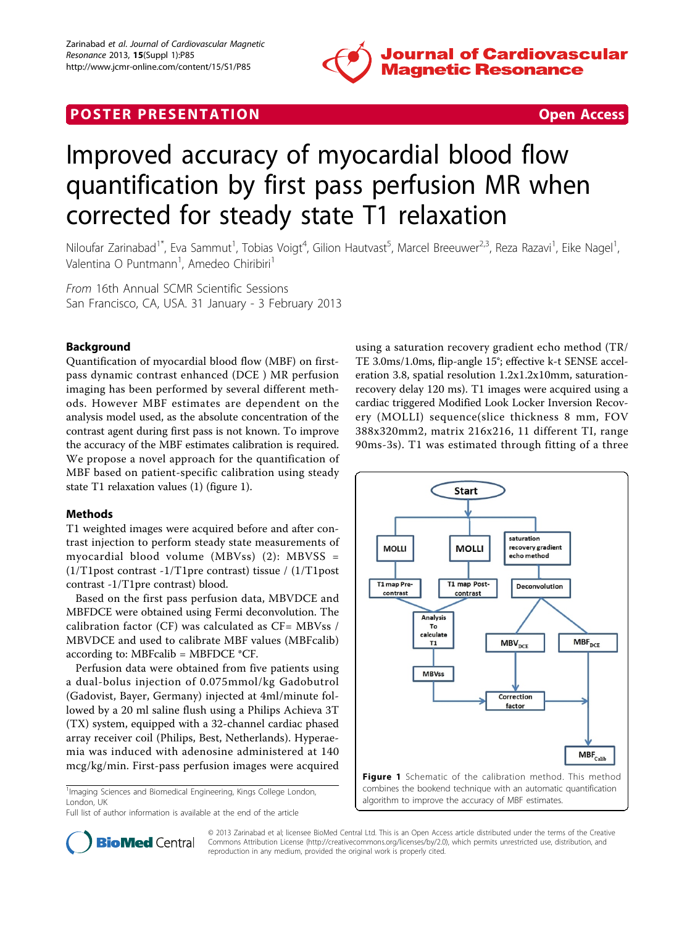

# **POSTER PRESENTATION CONSUMING THE SECOND CONSUMING THE SECOND CONSUMING THE SECOND CONSUMING THE SECOND CONSUMING THE SECOND CONSUMING THE SECOND CONSUMING THE SECOND CONSUMING THE SECOND CONSUMING THE SECOND CONSUMING**

# Improved accuracy of myocardial blood flow quantification by first pass perfusion MR when corrected for steady state T1 relaxation

Niloufar Zarinabad<sup>1\*</sup>, Eva Sammut<sup>1</sup>, Tobias Voigt<sup>4</sup>, Gilion Hautvast<sup>5</sup>, Marcel Breeuwer<sup>2,3</sup>, Reza Razavi<sup>1</sup>, Eike Nagel<sup>1</sup> , Valentina O Puntmann<sup>1</sup>, Amedeo Chiribiri<sup>1</sup>

From 16th Annual SCMR Scientific Sessions San Francisco, CA, USA. 31 January - 3 February 2013

# Background

Quantification of myocardial blood flow (MBF) on firstpass dynamic contrast enhanced (DCE ) MR perfusion imaging has been performed by several different methods. However MBF estimates are dependent on the analysis model used, as the absolute concentration of the contrast agent during first pass is not known. To improve the accuracy of the MBF estimates calibration is required. We propose a novel approach for the quantification of MBF based on patient-specific calibration using steady state T1 relaxation values (1) (figure 1).

# Methods

T1 weighted images were acquired before and after contrast injection to perform steady state measurements of myocardial blood volume (MBVss) (2): MBVSS = (1/T1post contrast -1/T1pre contrast) tissue / (1/T1post contrast -1/T1pre contrast) blood.

Based on the first pass perfusion data, MBVDCE and MBFDCE were obtained using Fermi deconvolution. The calibration factor (CF) was calculated as CF= MBVss / MBVDCE and used to calibrate MBF values (MBFcalib) according to: MBFcalib = MBFDCE \*CF.

Perfusion data were obtained from five patients using a dual-bolus injection of 0.075mmol/kg Gadobutrol (Gadovist, Bayer, Germany) injected at 4ml/minute followed by a 20 ml saline flush using a Philips Achieva 3T (TX) system, equipped with a 32-channel cardiac phased array receiver coil (Philips, Best, Netherlands). Hyperaemia was induced with adenosine administered at 140 mcg/kg/min. First-pass perfusion images were acquired

<sup>1</sup>Imaging Sciences and Biomedical Engineering, Kings College London, London, UK

Full list of author information is available at the end of the article

using a saturation recovery gradient echo method (TR/ TE 3.0ms/1.0ms, flip-angle 15°; effective k-t SENSE acceleration 3.8, spatial resolution 1.2x1.2x10mm, saturationrecovery delay 120 ms). T1 images were acquired using a cardiac triggered Modified Look Locker Inversion Recovery (MOLLI) sequence(slice thickness 8 mm, FOV 388x320mm2, matrix 216x216, 11 different TI, range 90ms-3s). T1 was estimated through fitting of a three





© 2013 Zarinabad et al; licensee BioMed Central Ltd. This is an Open Access article distributed under the terms of the Creative Commons Attribution License [\(http://creativecommons.org/licenses/by/2.0](http://creativecommons.org/licenses/by/2.0)), which permits unrestricted use, distribution, and reproduction in any medium, provided the original work is properly cited.